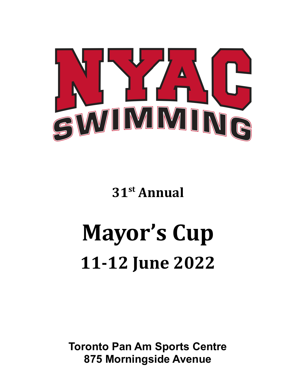

**31 st Annual**

# **Mayor's Cup 11-12 June 2022**

**Toronto Pan Am Sports Centre 875 Morningside Avenue**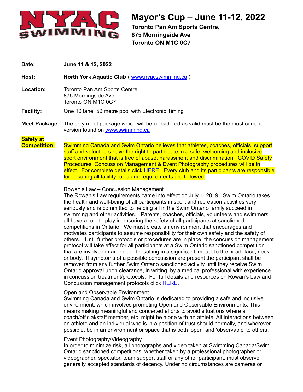

**Toronto Pan Am Sports Centre, 875 Morningside Ave Toronto ON M1C 0C7**

**Date: June 11 & 12, 2022**

**Host: North York Aquatic Club** ( [www.nyacswimming.ca](http://www.nyacswimming.ca) )

**Location:** Toronto Pan Am Sports Centre 875 Morningside Ave. Toronto ON M1C 0C7

**Facility:** One 10 lane, 50 metre pool with Electronic Timing

**Meet Package:** The only meet package which will be considered as valid must be the most current version found on [www.swimming.ca](http://www.swimming.ca)

## **Safety at**

**Competition:** Swimming Canada and Swim Ontario believes that athletes, coaches, officials, support staff and volunteers have the right to participate in a safe, welcoming and inclusive sport environment that is free of abuse, harassment and discrimination. COVID Safety Procedures, Concussion Management & Event Photography procedures will be in effect. For complete details click [HERE.](https://drive.google.com/file/d/1aJ74cmN9IyOsEZqzXIYh1NBacDtSTjtE/view?usp=sharing) Every club and its participants are responsible for ensuring all facility rules and requirements are followed.

#### Rowan's Law – Concussion Management

The Rowan's Law requirements came into effect on July 1, 2019. Swim Ontario takes the health and well-being of all participants in sport and recreation activities very seriously and is committed to helping all in the Swim Ontario family succeed in swimming and other activities. Parents, coaches, officials, volunteers and swimmers all have a role to play in ensuring the safety of all participants at sanctioned competitions in Ontario. We must create an environment that encourages and motivates participants to assume responsibility for their own safety and the safety of others. Until further protocols or procedures are in place, the concussion management protocol will take effect for all participants at a Swim Ontario sanctioned competition that are involved in an incident resulting in a significant impact to the head, face, neck or body. If symptoms of a possible concussion are present the participant shall be removed from any further Swim Ontario sanctioned activity until they receive Swim Ontario approval upon clearance, in writing, by a medical professional with experience in concussion treatment/protocols. For full details and resources on Rowan's Law and Concussion management protocols click [HERE](http://www.swimontario.com/uploads/Officials/Resources/SafeSportCompetition.pdf).

#### Open and Observable Environment

Swimming Canada and Swim Ontario is dedicated to providing a safe and inclusive environment, which involves promoting Open and Observable Environments. This means making meaningful and concerted efforts to avoid situations where a coach/official/staff member, etc. might be alone with an athlete. All interactions between an athlete and an individual who is in a position of trust should normally, and wherever possible, be in an environment or space that is both 'open' and 'observable' to others.

#### Event Photography/Videography

In order to minimize risk, all photographs and video taken at Swimming Canada/Swim Ontario sanctioned competitions, whether taken by a professional photographer or videographer, spectator, team support staff or any other participant, must observe generally accepted standards of decency. Under no circumstances are cameras or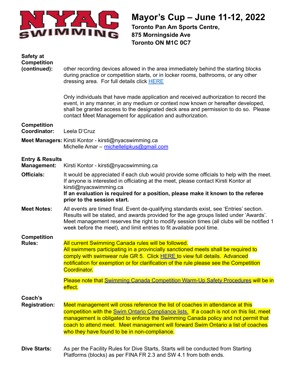

**Toronto Pan Am Sports Centre, 875 Morningside Ave Toronto ON M1C 0C7**

| Safety at<br><b>Competition</b>                  |                                                                                                                                                                                                                                                                                                                                                      |
|--------------------------------------------------|------------------------------------------------------------------------------------------------------------------------------------------------------------------------------------------------------------------------------------------------------------------------------------------------------------------------------------------------------|
| (continued):                                     | other recording devices allowed in the area immediately behind the starting blocks<br>during practice or competition starts, or in locker rooms, bathrooms, or any other<br>dressing area. For full details click <b>HERE</b>                                                                                                                        |
|                                                  | Only individuals that have made application and received authorization to record the<br>event, in any manner, in any medium or context now known or hereafter developed,<br>shall be granted access to the designated deck area and permission to do so. Please<br>contact Meet Management for application and authorization.                        |
| <b>Competition</b><br>Coordinator:               | Leela D'Cruz                                                                                                                                                                                                                                                                                                                                         |
|                                                  | Meet Managers: Kirsti Kontor - kirsti@nyacswimming.ca<br>Michelle Amar - michellelipkus@gmail.com                                                                                                                                                                                                                                                    |
| <b>Entry &amp; Results</b><br><b>Management:</b> | Kirsti Kontor - kirsti@nyacswimming.ca                                                                                                                                                                                                                                                                                                               |
| <b>Officials:</b>                                | It would be appreciated if each club would provide some officials to help with the meet.<br>If anyone is interested in officiating at the meet, please contact Kirsti Kontor at<br>kirsti@nyacswimming.ca<br>If an evaluation is required for a position, please make it known to the referee<br>prior to the session start.                         |
| <b>Meet Notes:</b>                               | All events are timed final. Event de-qualifying standards exist, see 'Entries' section.<br>Results will be stated, and awards provided for the age groups listed under 'Awards'.<br>Meet management reserves the right to modify session times (all clubs will be notified 1<br>week before the meet), and limit entries to fit available pool time. |
| <b>Competition</b><br><b>Rules:</b>              | All current Swimming Canada rules will be followed.                                                                                                                                                                                                                                                                                                  |
|                                                  | All swimmers participating in a provincially sanctioned meets shall be required to                                                                                                                                                                                                                                                                   |
|                                                  | comply with swimwear rule GR 5. Click HERE to view full details. Advanced                                                                                                                                                                                                                                                                            |
|                                                  | notification for exemption or for clarification of the rule please see the Competition<br>Coordinator.                                                                                                                                                                                                                                               |
|                                                  | Please note that Swimming Canada Competition Warm-Up Safety Procedures will be in<br>effect.                                                                                                                                                                                                                                                         |
| Coach's                                          |                                                                                                                                                                                                                                                                                                                                                      |
| <b>Registration:</b>                             | Meet management will cross reference the list of coaches in attendance at this                                                                                                                                                                                                                                                                       |
|                                                  | competition with the Swim Ontario Compliance lists. If a coach is not on this list, meet<br>management is obligated to enforce the Swimming Canada policy and not permit that                                                                                                                                                                        |
|                                                  | coach to attend meet. Meet management will forward Swim Ontario a list of coaches                                                                                                                                                                                                                                                                    |
|                                                  | who they have found to be in non-compliance.                                                                                                                                                                                                                                                                                                         |
| <b>Dive Starts:</b>                              | As per the Facility Rules for Dive Starts, Starts will be conducted from Starting<br>Platforms (blocks) as per FINA FR 2.3 and SW 4.1 from both ends.                                                                                                                                                                                                |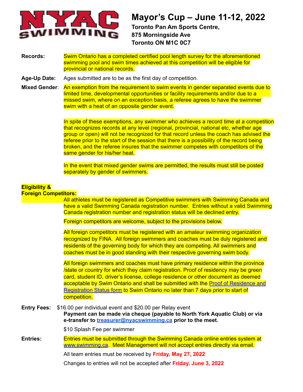

**Toronto Pan Am Sports Centre, 875 Morningside Ave Toronto ON M1C 0C7**

**Records:** Swim Ontario has a completed certified pool length survey for the aforementioned swimming pool and swim times achieved at this competition will be eligible for provincial or national records.

**Age-Up Date:** Ages submitted are to be as the first day of competition.

**Mixed Gender**: An exemption from the requirement to swim events in gender separated events due to limited time, developmental opportunities or facility requirements and/or due to a missed swim, where on an exception basis, a referee agrees to have the swimmer swim with a heat of an opposite gender event.

> In spite of these exemptions, any swimmer who achieves a record time at a competition that recognizes records at any level (regional, provincial, national etc, whether age group or open) will not be recognized for that record unless the coach has advised the referee prior to the start of the session that there is a possibility of the record being broken, and the referee insures that the swimmer competes with competitors of the same gender for his/her heat.

In the event that mixed gender swims are permitted, the results must still be posted separately by gender of swimmers.

### **Eligibility &**

**Foreign Competitors:**

All athletes must be registered as Competitive swimmers with Swimming Canada and have a valid Swimming Canada registration number. Entries without a valid Swimming Canada registration number and registration status will be declined entry.

Foreign competitors are welcome, subject to the provisions below.

All foreign competitors must be registered with an amateur swimming organization recognized by FINA. All foreign swimmers and coaches must be duly registered and residents of the governing body for which they are competing. All swimmers and coaches must be in good standing with their respective governing swim body.

All foreign swimmers and coaches must have primary residence within the province /state or country for which they claim registration. Proof of residency may be green card, student ID, driver's license, college residence or other document as deemed acceptable by Swim Ontario and shall be submitted with the Proof of [Residence](https://drive.google.com/file/d/1_qljeYNDX1KagduiJEk-AYVnNn17XLIc/view?usp=sharing) and [Registration](https://drive.google.com/file/d/1_qljeYNDX1KagduiJEk-AYVnNn17XLIc/view?usp=sharing) Status form to Swim Ontario no later than 7 days prior to start of competition.

**Entry Fees:** \$16.00 per individual event and \$20.00 per Relay event

**Payment can be made via cheque (payable to North York Aquatic Club) or via e-transfer to [treasurer@nyacswimming.ca](mailto:treasurer@nyacswimming.ca) prior to the meet.**

\$10 Splash Fee per swimmer

**Entries:** Entries must be submitted through the Swimming Canada online entries system at [www.swimming.ca](http://www.swimming.ca). Meet Management will not accept entries directly via email.

All team entries must be received by **Friday, May 27, 2022**

Changes to entries will not be accepted after **Friday, June 3, 2022**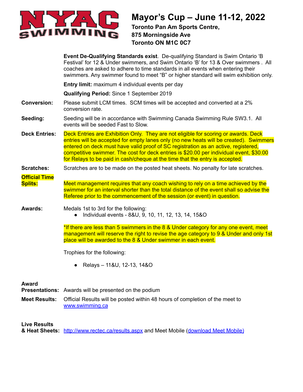

**Toronto Pan Am Sports Centre, 875 Morningside Ave Toronto ON M1C 0C7**

|                                        | Event De-Qualifying Standards exist. De-qualifying Standard is Swim Ontario 'B<br>Festival' for 12 & Under swimmers, and Swim Ontario 'B' for 13 & Over swimmers . All<br>coaches are asked to adhere to time standards in all events when entering their<br>swimmers. Any swimmer found to meet "B" or higher standard will swim exhibition only.                                                                                             |
|----------------------------------------|------------------------------------------------------------------------------------------------------------------------------------------------------------------------------------------------------------------------------------------------------------------------------------------------------------------------------------------------------------------------------------------------------------------------------------------------|
|                                        | Entry limit: maximum 4 individual events per day                                                                                                                                                                                                                                                                                                                                                                                               |
|                                        | <b>Qualifying Period: Since 1 September 2019</b>                                                                                                                                                                                                                                                                                                                                                                                               |
| <b>Conversion:</b>                     | Please submit LCM times. SCM times will be accepted and converted at a 2%<br>conversion rate.                                                                                                                                                                                                                                                                                                                                                  |
| Seeding:                               | Seeding will be in accordance with Swimming Canada Swimming Rule SW3.1. All<br>events will be seeded Fast to Slow.                                                                                                                                                                                                                                                                                                                             |
| <b>Deck Entries:</b>                   | Deck Entries are Exhibition Only. They are not eligible for scoring or awards. Deck<br>entries will be accepted for empty lanes only (no new heats will be created). Swimmers<br>entered on deck must have valid proof of SC registration as an active, registered,<br>competitive swimmer. The cost for deck entries is \$20.00 per individual event, \$30.00<br>for Relays to be paid in cash/cheque at the time that the entry is accepted. |
| <b>Scratches:</b>                      | Scratches are to be made on the posted heat sheets. No penalty for late scratches.                                                                                                                                                                                                                                                                                                                                                             |
| <b>Official Time</b><br><b>Splits:</b> | Meet management requires that any coach wishing to rely on a time achieved by the<br>swimmer for an interval shorter than the total distance of the event shall so advise the<br>Referee prior to the commencement of the session (or event) in question.                                                                                                                                                                                      |
| <b>Awards:</b>                         | Medals 1st to 3rd for the following:<br>Individual events - 8&U, 9, 10, 11, 12, 13, 14, 15&O                                                                                                                                                                                                                                                                                                                                                   |
|                                        | *If there are less than 5 swimmers in the 8 & Under category for any one event, meet<br>management will reserve the right to revise the age category to 9 & Under and only 1st<br>place will be awarded to the 8 & Under swimmer in each event.                                                                                                                                                                                                |
|                                        | Trophies for the following:                                                                                                                                                                                                                                                                                                                                                                                                                    |
|                                        | Relays - 11&U, 12-13, 14&O                                                                                                                                                                                                                                                                                                                                                                                                                     |
| <b>Award</b>                           | <b>Presentations:</b> Awards will be presented on the podium                                                                                                                                                                                                                                                                                                                                                                                   |
| <b>Meet Results:</b>                   | Official Results will be posted within 48 hours of completion of the meet to<br>www.swimming.ca                                                                                                                                                                                                                                                                                                                                                |
| <b>Live Results</b>                    |                                                                                                                                                                                                                                                                                                                                                                                                                                                |

**& Heat Sheets:** <http://www.rectec.ca/results.aspx> and Meet Mobile ([download](http://www.active.com/mobile/meet-mobile-app) Meet Mobile)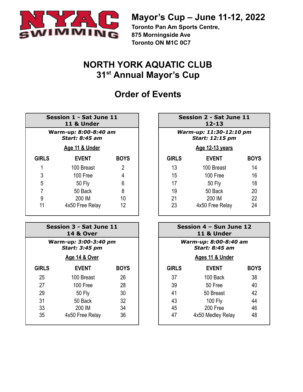

**Toronto Pan Am Sports Centre, 875 Morningside Ave Toronto ON M1C 0C7**

## **NORTH YORK AQUATIC CLUB 31st Annual Mayor's Cup**

## **Order of Events**

| Session 1 - Sat June 11 |
|-------------------------|
| 11 & Under              |
|                         |

#### **Warm-up***: 8:00-8:40 am Start: 8:45 am*

#### **Age 11 & Under Age 12-13 years**

| <b>GIRLS</b> | <b>EVENT</b>    | <b>BOYS</b> | <b>GIRLS</b> | <b>EVENT</b>    | <b>BOYS</b> |
|--------------|-----------------|-------------|--------------|-----------------|-------------|
|              | 100 Breast      | 2           | 13           | 100 Breast      | 14          |
| 3            | 100 Free        | 4           | 15           | 100 Free        | 16          |
| 5            | 50 Fly          | 6           | 17           | <b>50 Fly</b>   | 18          |
|              | 50 Back         | 8           | 19           | 50 Back         | 20          |
| 9            | 200 IM          | 10          | 21           | 200 IM          | 22          |
| 11           | 4x50 Free Relay | 12          | 23           | 4x50 Free Relay | 24          |

| Session 3 - Sat June 11<br><b>14 &amp; Over</b><br>Warm-up: 3:00-3:40 pm<br><b>Start: 3:45 pm</b> |                          |             |              | Session 4 – Sun June 12<br>11 & Under          |             |
|---------------------------------------------------------------------------------------------------|--------------------------|-------------|--------------|------------------------------------------------|-------------|
|                                                                                                   |                          |             |              | Warm-up: 8:00-8:40 am<br><b>Start: 8:45 am</b> |             |
|                                                                                                   | <u>Age 14 &amp; Over</u> |             |              | Ages 11 & Under                                |             |
| <b>GIRLS</b>                                                                                      | <b>EVENT</b>             | <b>BOYS</b> | <b>GIRLS</b> | <b>EVENT</b>                                   | <b>BOYS</b> |
| 25                                                                                                | 100 Breast               | 26          | 37           | 100 Back                                       | 38          |
| 27                                                                                                | 100 Free                 | 28          | 39           | 50 Free                                        | 40          |
| 29                                                                                                | 50 Fly                   | 30          | 41           | 50 Breast                                      | 42          |
| 31                                                                                                | 50 Back                  | 32          | 43           | <b>100 Fly</b>                                 | 44          |
| 33                                                                                                | 200 IM                   | 34          | 45           | 200 Free                                       | 46          |
| 35                                                                                                | 4x50 Free Relay          | 36          | 47           | 4x50 Medley Relay                              | 48          |

| <b>Session 2 - Sat June 11</b><br>$12 - 13$ |                        |             |  |  |  |
|---------------------------------------------|------------------------|-------------|--|--|--|
| Warm-up: 11:30-12:10 pm<br>Start: 12:15 pm  |                        |             |  |  |  |
|                                             | <u>Age 12-13 years</u> |             |  |  |  |
| <b>GIRLS</b>                                | <b>EVENT</b>           | <b>BOYS</b> |  |  |  |
| 13                                          | 100 Breast             | 14          |  |  |  |
| 15                                          | 100 Free               | 16          |  |  |  |
| 17                                          | <b>50 Fly</b>          | 18          |  |  |  |
| 19                                          | 50 Back                | 20          |  |  |  |
| 21                                          | <b>DUU IN</b>          | っっ          |  |  |  |

| n 3 - Sat June 11<br><b>14 &amp; Over</b>  |             |                 |                                                | Session 4 - Sun June 12<br>11 & Under |             |
|--------------------------------------------|-------------|-----------------|------------------------------------------------|---------------------------------------|-------------|
| -up <i>: 3:00-3:40 pm</i><br>tart: 3:45 pm |             |                 | Warm-up: 8:00-8:40 am<br><b>Start: 8:45 am</b> |                                       |             |
| <u>Age 14 &amp; Over</u>                   |             | Ages 11 & Under |                                                |                                       |             |
| <b>EVENT</b>                               | <b>BOYS</b> |                 | <b>GIRLS</b>                                   | <b>EVENT</b>                          | <b>BOYS</b> |
| 100 Breast                                 | 26          |                 | 37                                             | 100 Back                              | 38          |
| 100 Free                                   | 28          |                 | 39                                             | 50 Free                               | 40          |
| 50 Fly                                     | 30          |                 | 41                                             | 50 Breast                             | 42          |
| 50 Back                                    | 32          |                 | 43                                             | 100 Fly                               | 44          |
| 200 IM                                     | 34          |                 | 45                                             | 200 Free                              | 46          |
| 4x50 Free Relay                            | 36          |                 | 47                                             | 4x50 Medley Relay                     | 48          |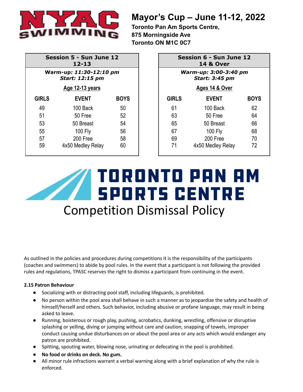

**Toronto Pan Am Sports Centre, 875 Morningside Ave Toronto ON M1C 0C7**

| <b>Session 5 - Sun June 12</b><br>$12 - 13$<br>Warm-up: 11:30-12:10 pm<br><b>Start: 12:15 pm</b> |                   |             |              | Session 6 - Sun June 12<br><b>14 &amp; Over</b> |             |
|--------------------------------------------------------------------------------------------------|-------------------|-------------|--------------|-------------------------------------------------|-------------|
|                                                                                                  |                   |             |              | Warm-up: 3:00-3:40 pm<br><b>Start: 3:45 pm</b>  |             |
|                                                                                                  | Age 12-13 years   |             |              | Ages 14 & Over                                  |             |
| <b>GIRLS</b>                                                                                     | <b>EVENT</b>      | <b>BOYS</b> | <b>GIRLS</b> | <b>EVENT</b>                                    | <b>BOYS</b> |
| 49                                                                                               | 100 Back          | 50          | 61           | 100 Back                                        | 62          |
| 51                                                                                               | 50 Free           | 52          | 63           | 50 Free                                         | 64          |
| 53                                                                                               | 50 Breast         | 54          | 65           | 50 Breast                                       | 66          |
| 55                                                                                               | 100 Fly           | 56          | 67           | 100 Fly                                         | 68          |
| 57                                                                                               | 200 Free          | 58          | 69           | 200 Free                                        | 70          |
| 59                                                                                               | 4x50 Medley Relay | 60          | 71           | 4x50 Medley Relay                               | 72          |

| Session 6 - Sun June 12<br><b>14 &amp; Over</b> |                   |             |  |  |
|-------------------------------------------------|-------------------|-------------|--|--|
| Warm-up: 3:00-3:40 pm<br><b>Start: 3:45 pm</b>  |                   |             |  |  |
|                                                 | Ages 14 & Over    |             |  |  |
| <b>GIRLS</b>                                    | <b>EVENT</b>      | <b>BOYS</b> |  |  |
| 61                                              | 100 Back          | 62          |  |  |
| 63                                              | 50 Free           | 64          |  |  |
| 65                                              | 50 Breast         | 66          |  |  |
| 67                                              | 100 Fly           | 68          |  |  |
| 69                                              | 200 Free          | 70          |  |  |
| 71                                              | 4x50 Medley Relay | 72          |  |  |

## DRONTO PAN AM **SPORTS CENTRE** Competition Dismissal Policy

As outlined in the policies and procedures during competitions it is the responsibility of the participants (coaches and swimmers) to abide by pool rules. In the event that a participant is not following the provided rules and regulations, TPASC reserves the right to dismiss a participant from continuing in the event.

#### **2.15 Patron Behaviour**

- Socializing with or distracting pool staff, including lifeguards, is prohibited.
- No person within the pool area shall behave in such a manner as to jeopardize the safety and health of himself/herself and others. Such behavior, including abusive or profane language, may result in being asked to leave.
- Running, boisterous or rough play, pushing, acrobatics, dunking, wrestling, offensive or disruptive splashing or yelling, diving or jumping without care and caution, snapping of towels, improper conduct causing undue disturbances on or about the pool area or any acts which would endanger any patron are prohibited.
- Spitting, spouting water, blowing nose, urinating or defecating in the pool is prohibited.
- **● No food or drinks on deck. No gum.**
- All minor rule infractions warrant a verbal warning along with a brief explanation of why the rule is enforced.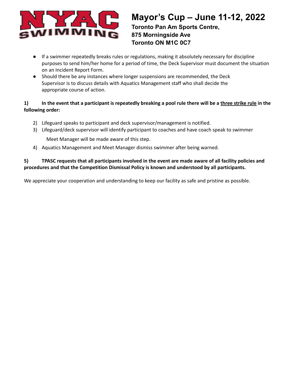

**Toronto Pan Am Sports Centre, 875 Morningside Ave Toronto ON M1C 0C7**

- If a swimmer repeatedly breaks rules or regulations, making it absolutely necessary for discipline purposes to send him/her home for a period of time, the Deck Supervisor must document the situation on an Incident Report Form.
- Should there be any instances where longer suspensions are recommended, the Deck Supervisor is to discuss details with Aquatics Management staff who shall decide the appropriate course of action.

#### 1) In the event that a participant is repeatedly breaking a pool rule there will be a three strike rule in the **following order:**

- 2) Lifeguard speaks to participant and deck supervisor/management is notified.
- 3) Lifeguard/deck supervisor will identify participant to coaches and have coach speak to swimmer

Meet Manager will be made aware of this step.

4) Aquatics Management and Meet Manager dismiss swimmer after being warned.

#### 5) TPASC requests that all participants involved in the event are made aware of all facility policies and **procedures and that the Competition Dismissal Policy is known and understood by all participants.**

We appreciate your cooperation and understanding to keep our facility as safe and pristine as possible.